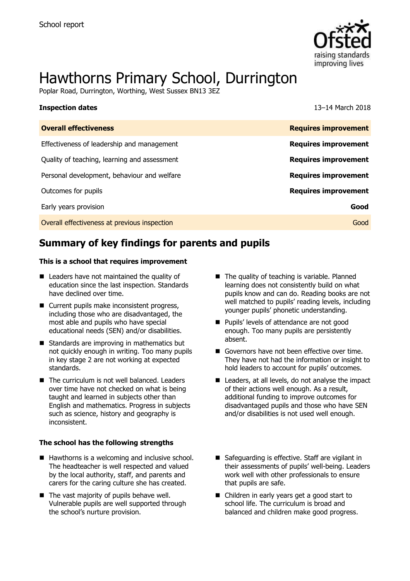

# Hawthorns Primary School, Durrington

Poplar Road, Durrington, Worthing, West Sussex BN13 3EZ

| <b>Inspection dates</b>                      | 13–14 March 2018            |
|----------------------------------------------|-----------------------------|
| <b>Overall effectiveness</b>                 | <b>Requires improvement</b> |
| Effectiveness of leadership and management   | <b>Requires improvement</b> |
| Quality of teaching, learning and assessment | <b>Requires improvement</b> |
| Personal development, behaviour and welfare  | <b>Requires improvement</b> |
| Outcomes for pupils                          | <b>Requires improvement</b> |
| Early years provision                        | Good                        |
| Overall effectiveness at previous inspection | Good                        |

# **Summary of key findings for parents and pupils**

#### **This is a school that requires improvement**

- Leaders have not maintained the quality of education since the last inspection. Standards have declined over time.
- Current pupils make inconsistent progress, including those who are disadvantaged, the most able and pupils who have special educational needs (SEN) and/or disabilities.
- Standards are improving in mathematics but not quickly enough in writing. Too many pupils in key stage 2 are not working at expected standards.
- The curriculum is not well balanced. Leaders over time have not checked on what is being taught and learned in subjects other than English and mathematics. Progress in subjects such as science, history and geography is inconsistent.

#### **The school has the following strengths**

- $\blacksquare$  Hawthorns is a welcoming and inclusive school. The headteacher is well respected and valued by the local authority, staff, and parents and carers for the caring culture she has created.
- The vast majority of pupils behave well. Vulnerable pupils are well supported through the school's nurture provision.
- The quality of teaching is variable. Planned learning does not consistently build on what pupils know and can do. Reading books are not well matched to pupils' reading levels, including younger pupils' phonetic understanding.
- **Pupils' levels of attendance are not good** enough. Too many pupils are persistently absent.
- Governors have not been effective over time. They have not had the information or insight to hold leaders to account for pupils' outcomes.
- Leaders, at all levels, do not analyse the impact of their actions well enough. As a result, additional funding to improve outcomes for disadvantaged pupils and those who have SEN and/or disabilities is not used well enough.
- Safeguarding is effective. Staff are vigilant in their assessments of pupils' well-being. Leaders work well with other professionals to ensure that pupils are safe.
- Children in early years get a good start to school life. The curriculum is broad and balanced and children make good progress.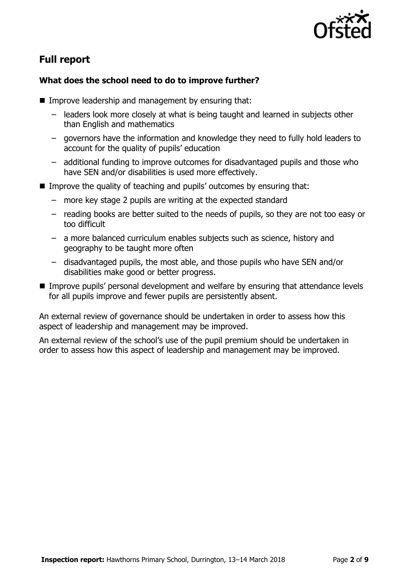

# **Full report**

### **What does the school need to do to improve further?**

- $\blacksquare$  Improve leadership and management by ensuring that:
	- leaders look more closely at what is being taught and learned in subjects other than English and mathematics
	- governors have the information and knowledge they need to fully hold leaders to account for the quality of pupils' education
	- additional funding to improve outcomes for disadvantaged pupils and those who have SEN and/or disabilities is used more effectively.
- Improve the quality of teaching and pupils' outcomes by ensuring that:
	- more key stage 2 pupils are writing at the expected standard
	- reading books are better suited to the needs of pupils, so they are not too easy or too difficult
	- a more balanced curriculum enables subjects such as science, history and geography to be taught more often
	- disadvantaged pupils, the most able, and those pupils who have SEN and/or disabilities make good or better progress.
- **IMPROVE PUPILS' personal development and welfare by ensuring that attendance levels** for all pupils improve and fewer pupils are persistently absent.

An external review of governance should be undertaken in order to assess how this aspect of leadership and management may be improved.

An external review of the school's use of the pupil premium should be undertaken in order to assess how this aspect of leadership and management may be improved.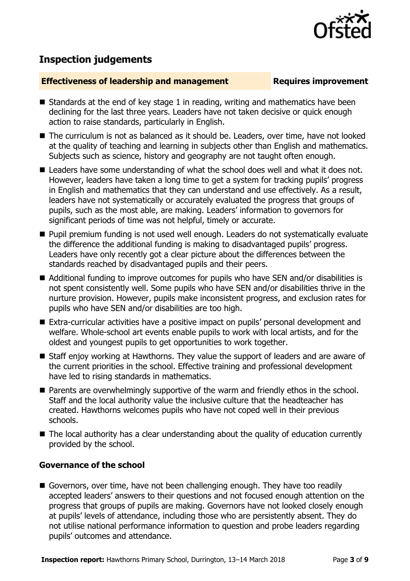

# **Inspection judgements**

#### **Effectiveness of leadership and management Requires improvement**

- Standards at the end of key stage 1 in reading, writing and mathematics have been declining for the last three years. Leaders have not taken decisive or quick enough action to raise standards, particularly in English.
- The curriculum is not as balanced as it should be. Leaders, over time, have not looked at the quality of teaching and learning in subjects other than English and mathematics. Subjects such as science, history and geography are not taught often enough.
- Leaders have some understanding of what the school does well and what it does not. However, leaders have taken a long time to get a system for tracking pupils' progress in English and mathematics that they can understand and use effectively. As a result, leaders have not systematically or accurately evaluated the progress that groups of pupils, such as the most able, are making. Leaders' information to governors for significant periods of time was not helpful, timely or accurate.
- **Pupil premium funding is not used well enough. Leaders do not systematically evaluate** the difference the additional funding is making to disadvantaged pupils' progress. Leaders have only recently got a clear picture about the differences between the standards reached by disadvantaged pupils and their peers.
- Additional funding to improve outcomes for pupils who have SEN and/or disabilities is not spent consistently well. Some pupils who have SEN and/or disabilities thrive in the nurture provision. However, pupils make inconsistent progress, and exclusion rates for pupils who have SEN and/or disabilities are too high.
- Extra-curricular activities have a positive impact on pupils' personal development and welfare. Whole-school art events enable pupils to work with local artists, and for the oldest and youngest pupils to get opportunities to work together.
- Staff enjoy working at Hawthorns. They value the support of leaders and are aware of the current priorities in the school. Effective training and professional development have led to rising standards in mathematics.
- **Parents are overwhelmingly supportive of the warm and friendly ethos in the school.** Staff and the local authority value the inclusive culture that the headteacher has created. Hawthorns welcomes pupils who have not coped well in their previous schools.
- The local authority has a clear understanding about the quality of education currently provided by the school.

### **Governance of the school**

Governors, over time, have not been challenging enough. They have too readily accepted leaders' answers to their questions and not focused enough attention on the progress that groups of pupils are making. Governors have not looked closely enough at pupils' levels of attendance, including those who are persistently absent. They do not utilise national performance information to question and probe leaders regarding pupils' outcomes and attendance.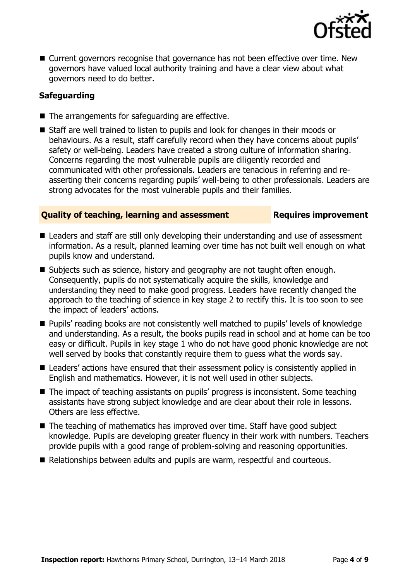

■ Current governors recognise that governance has not been effective over time. New governors have valued local authority training and have a clear view about what governors need to do better.

### **Safeguarding**

- The arrangements for safeguarding are effective.
- Staff are well trained to listen to pupils and look for changes in their moods or behaviours. As a result, staff carefully record when they have concerns about pupils' safety or well-being. Leaders have created a strong culture of information sharing. Concerns regarding the most vulnerable pupils are diligently recorded and communicated with other professionals. Leaders are tenacious in referring and reasserting their concerns regarding pupils' well-being to other professionals. Leaders are strong advocates for the most vulnerable pupils and their families.

### **Quality of teaching, learning and assessment France Requires improvement**

- Leaders and staff are still only developing their understanding and use of assessment information. As a result, planned learning over time has not built well enough on what pupils know and understand.
- Subjects such as science, history and geography are not taught often enough. Consequently, pupils do not systematically acquire the skills, knowledge and understanding they need to make good progress. Leaders have recently changed the approach to the teaching of science in key stage 2 to rectify this. It is too soon to see the impact of leaders' actions.
- Pupils' reading books are not consistently well matched to pupils' levels of knowledge and understanding. As a result, the books pupils read in school and at home can be too easy or difficult. Pupils in key stage 1 who do not have good phonic knowledge are not well served by books that constantly require them to guess what the words say.
- Leaders' actions have ensured that their assessment policy is consistently applied in English and mathematics. However, it is not well used in other subjects.
- The impact of teaching assistants on pupils' progress is inconsistent. Some teaching assistants have strong subject knowledge and are clear about their role in lessons. Others are less effective.
- The teaching of mathematics has improved over time. Staff have good subject knowledge. Pupils are developing greater fluency in their work with numbers. Teachers provide pupils with a good range of problem-solving and reasoning opportunities.
- Relationships between adults and pupils are warm, respectful and courteous.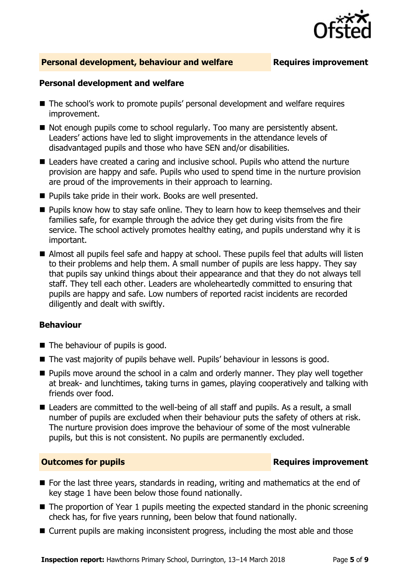

### **Personal development, behaviour and welfare <b>Requires improvement**

#### **Personal development and welfare**

- The school's work to promote pupils' personal development and welfare requires improvement.
- Not enough pupils come to school regularly. Too many are persistently absent. Leaders' actions have led to slight improvements in the attendance levels of disadvantaged pupils and those who have SEN and/or disabilities.
- Leaders have created a caring and inclusive school. Pupils who attend the nurture provision are happy and safe. Pupils who used to spend time in the nurture provision are proud of the improvements in their approach to learning.
- Pupils take pride in their work. Books are well presented.
- **Pupils know how to stay safe online. They to learn how to keep themselves and their** families safe, for example through the advice they get during visits from the fire service. The school actively promotes healthy eating, and pupils understand why it is important.
- Almost all pupils feel safe and happy at school. These pupils feel that adults will listen to their problems and help them. A small number of pupils are less happy. They say that pupils say unkind things about their appearance and that they do not always tell staff. They tell each other. Leaders are wholeheartedly committed to ensuring that pupils are happy and safe. Low numbers of reported racist incidents are recorded diligently and dealt with swiftly.

#### **Behaviour**

- The behaviour of pupils is good.
- The vast majority of pupils behave well. Pupils' behaviour in lessons is good.
- **Pupils move around the school in a calm and orderly manner. They play well together** at break- and lunchtimes, taking turns in games, playing cooperatively and talking with friends over food.
- Leaders are committed to the well-being of all staff and pupils. As a result, a small number of pupils are excluded when their behaviour puts the safety of others at risk. The nurture provision does improve the behaviour of some of the most vulnerable pupils, but this is not consistent. No pupils are permanently excluded.

#### **Outcomes for pupils Requires improvement**

- For the last three years, standards in reading, writing and mathematics at the end of key stage 1 have been below those found nationally.
- The proportion of Year 1 pupils meeting the expected standard in the phonic screening check has, for five years running, been below that found nationally.
- Current pupils are making inconsistent progress, including the most able and those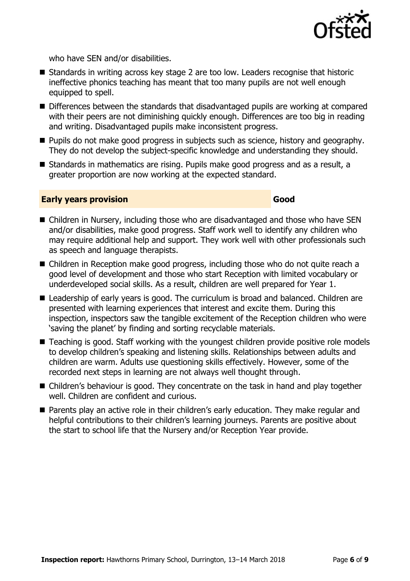

who have SEN and/or disabilities.

- Standards in writing across key stage 2 are too low. Leaders recognise that historic ineffective phonics teaching has meant that too many pupils are not well enough equipped to spell.
- Differences between the standards that disadvantaged pupils are working at compared with their peers are not diminishing quickly enough. Differences are too big in reading and writing. Disadvantaged pupils make inconsistent progress.
- **Pupils do not make good progress in subjects such as science, history and geography.** They do not develop the subject-specific knowledge and understanding they should.
- Standards in mathematics are rising. Pupils make good progress and as a result, a greater proportion are now working at the expected standard.

#### **Early years provision Good Good**

- Children in Nursery, including those who are disadvantaged and those who have SEN and/or disabilities, make good progress. Staff work well to identify any children who may require additional help and support. They work well with other professionals such as speech and language therapists.
- Children in Reception make good progress, including those who do not quite reach a good level of development and those who start Reception with limited vocabulary or underdeveloped social skills. As a result, children are well prepared for Year 1.
- Leadership of early years is good. The curriculum is broad and balanced. Children are presented with learning experiences that interest and excite them. During this inspection, inspectors saw the tangible excitement of the Reception children who were 'saving the planet' by finding and sorting recyclable materials.
- Teaching is good. Staff working with the youngest children provide positive role models to develop children's speaking and listening skills. Relationships between adults and children are warm. Adults use questioning skills effectively. However, some of the recorded next steps in learning are not always well thought through.
- Children's behaviour is good. They concentrate on the task in hand and play together well. Children are confident and curious.
- **Parents play an active role in their children's early education. They make regular and** helpful contributions to their children's learning journeys. Parents are positive about the start to school life that the Nursery and/or Reception Year provide.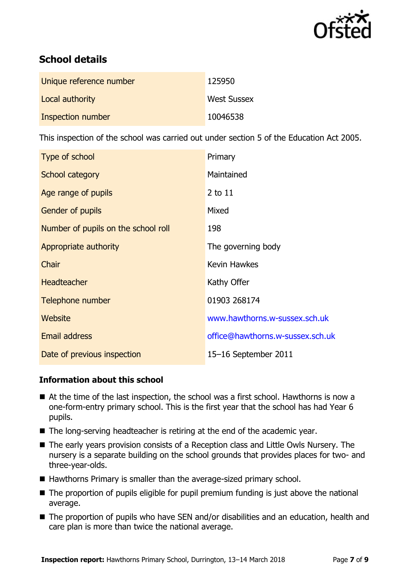

# **School details**

| Unique reference number | 125950             |
|-------------------------|--------------------|
| Local authority         | <b>West Sussex</b> |
| Inspection number       | 10046538           |

This inspection of the school was carried out under section 5 of the Education Act 2005.

| Type of school                      | Primary                          |
|-------------------------------------|----------------------------------|
| School category                     | Maintained                       |
| Age range of pupils                 | 2 to 11                          |
| <b>Gender of pupils</b>             | Mixed                            |
| Number of pupils on the school roll | 198                              |
| Appropriate authority               | The governing body               |
| Chair                               | <b>Kevin Hawkes</b>              |
| <b>Headteacher</b>                  | Kathy Offer                      |
| Telephone number                    | 01903 268174                     |
| Website                             | www.hawthorns.w-sussex.sch.uk    |
| <b>Email address</b>                | office@hawthorns.w-sussex.sch.uk |
| Date of previous inspection         | 15-16 September 2011             |

### **Information about this school**

- At the time of the last inspection, the school was a first school. Hawthorns is now a one-form-entry primary school. This is the first year that the school has had Year 6 pupils.
- The long-serving headteacher is retiring at the end of the academic year.
- The early years provision consists of a Reception class and Little Owls Nursery. The nursery is a separate building on the school grounds that provides places for two- and three-year-olds.
- Hawthorns Primary is smaller than the average-sized primary school.
- The proportion of pupils eligible for pupil premium funding is just above the national average.
- The proportion of pupils who have SEN and/or disabilities and an education, health and care plan is more than twice the national average.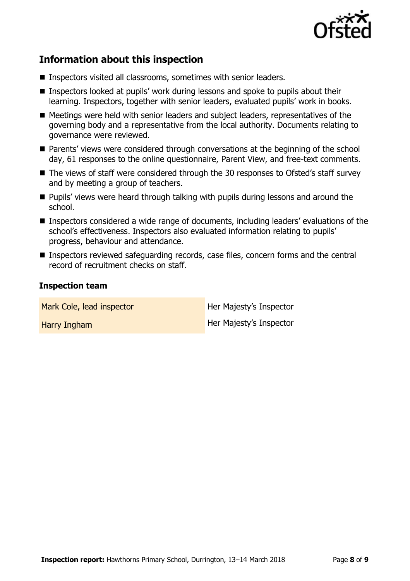

# **Information about this inspection**

- Inspectors visited all classrooms, sometimes with senior leaders.
- Inspectors looked at pupils' work during lessons and spoke to pupils about their learning. Inspectors, together with senior leaders, evaluated pupils' work in books.
- Meetings were held with senior leaders and subject leaders, representatives of the governing body and a representative from the local authority. Documents relating to governance were reviewed.
- Parents' views were considered through conversations at the beginning of the school day, 61 responses to the online questionnaire, Parent View, and free-text comments.
- The views of staff were considered through the 30 responses to Ofsted's staff survey and by meeting a group of teachers.
- **Pupils' views were heard through talking with pupils during lessons and around the** school.
- Inspectors considered a wide range of documents, including leaders' evaluations of the school's effectiveness. Inspectors also evaluated information relating to pupils' progress, behaviour and attendance.
- Inspectors reviewed safeguarding records, case files, concern forms and the central record of recruitment checks on staff.

### **Inspection team**

Mark Cole, lead inspector **Her Majesty's Inspector** Harry Ingham Her Majesty's Inspector